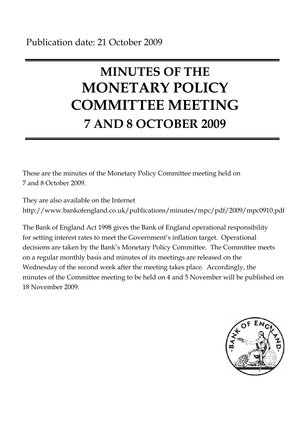# **MINUTES OF THE MONETARY POLICY COMMITTEE MEETING 7 AND 8 OCTOBER 2009**

These are the minutes of the Monetary Policy Committee meeting held on 7 and 8 October 2009.

They are also available on the Internet http://www.bankofengland.co.uk/publications/minutes/mpc/pdf/2009/mpc0910.pdf

The Bank of England Act 1998 gives the Bank of England operational responsibility for setting interest rates to meet the Government's inflation target. Operational decisions are taken by the Bank's Monetary Policy Committee. The Committee meets on a regular monthly basis and minutes of its meetings are released on the Wednesday of the second week after the meeting takes place. Accordingly, the minutes of the Committee meeting to be held on 4 and 5 November will be published on 18 November 2009.

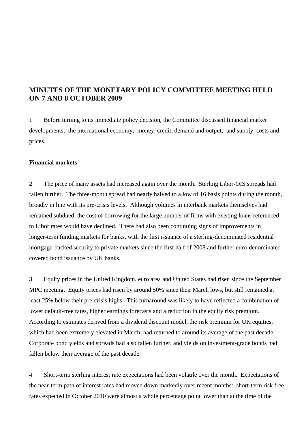## **MINUTES OF THE MONETARY POLICY COMMITTEE MEETING HELD ON 7 AND 8 OCTOBER 2009**

1 Before turning to its immediate policy decision, the Committee discussed financial market developments; the international economy; money, credit, demand and output; and supply, costs and prices.

### **Financial markets**

2 The price of many assets had increased again over the month. Sterling Libor-OIS spreads had fallen further. The three-month spread had nearly halved to a low of 16 basis points during the month, broadly in line with its pre-crisis levels. Although volumes in interbank markets themselves had remained subdued, the cost of borrowing for the large number of firms with existing loans referenced to Libor rates would have declined. There had also been continuing signs of improvements in longer-term funding markets for banks, with the first issuance of a sterling-denominated residential mortgage-backed security to private markets since the first half of 2008 and further euro-denominated covered bond issuance by UK banks.

3 Equity prices in the United Kingdom, euro area and United States had risen since the September MPC meeting. Equity prices had risen by around 50% since their March lows, but still remained at least 25% below their pre-crisis highs. This turnaround was likely to have reflected a combination of lower default-free rates, higher earnings forecasts and a reduction in the equity risk premium. According to estimates derived from a dividend discount model, the risk premium for UK equities, which had been extremely elevated in March, had returned to around its average of the past decade. Corporate bond yields and spreads had also fallen further, and yields on investment-grade bonds had fallen below their average of the past decade.

4 Short-term sterling interest rate expectations had been volatile over the month. Expectations of the near-term path of interest rates had moved down markedly over recent months: short-term risk free rates expected in October 2010 were almost a whole percentage point lower than at the time of the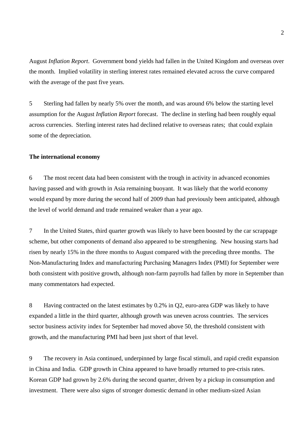August *Inflation Report*. Government bond yields had fallen in the United Kingdom and overseas over the month. Implied volatility in sterling interest rates remained elevated across the curve compared with the average of the past five years.

5 Sterling had fallen by nearly 5% over the month, and was around 6% below the starting level assumption for the August *Inflation Report* forecast. The decline in sterling had been roughly equal across currencies. Sterling interest rates had declined relative to overseas rates; that could explain some of the depreciation.

#### **The international economy**

6 The most recent data had been consistent with the trough in activity in advanced economies having passed and with growth in Asia remaining buoyant. It was likely that the world economy would expand by more during the second half of 2009 than had previously been anticipated, although the level of world demand and trade remained weaker than a year ago.

7 In the United States, third quarter growth was likely to have been boosted by the car scrappage scheme, but other components of demand also appeared to be strengthening. New housing starts had risen by nearly 15% in the three months to August compared with the preceding three months. The Non-Manufacturing Index and manufacturing Purchasing Managers Index (PMI) for September were both consistent with positive growth, although non-farm payrolls had fallen by more in September than many commentators had expected.

8 Having contracted on the latest estimates by 0.2% in Q2, euro-area GDP was likely to have expanded a little in the third quarter, although growth was uneven across countries. The services sector business activity index for September had moved above 50, the threshold consistent with growth, and the manufacturing PMI had been just short of that level.

9 The recovery in Asia continued, underpinned by large fiscal stimuli, and rapid credit expansion in China and India. GDP growth in China appeared to have broadly returned to pre-crisis rates. Korean GDP had grown by 2.6% during the second quarter, driven by a pickup in consumption and investment. There were also signs of stronger domestic demand in other medium-sized Asian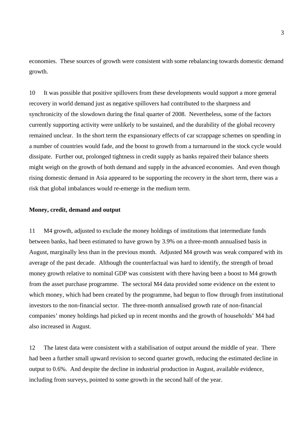economies. These sources of growth were consistent with some rebalancing towards domestic demand growth.

10 It was possible that positive spillovers from these developments would support a more general recovery in world demand just as negative spillovers had contributed to the sharpness and synchronicity of the slowdown during the final quarter of 2008. Nevertheless, some of the factors currently supporting activity were unlikely to be sustained, and the durability of the global recovery remained unclear. In the short term the expansionary effects of car scrappage schemes on spending in a number of countries would fade, and the boost to growth from a turnaround in the stock cycle would dissipate. Further out, prolonged tightness in credit supply as banks repaired their balance sheets might weigh on the growth of both demand and supply in the advanced economies. And even though rising domestic demand in Asia appeared to be supporting the recovery in the short term, there was a risk that global imbalances would re-emerge in the medium term.

#### **Money, credit, demand and output**

11 M4 growth, adjusted to exclude the money holdings of institutions that intermediate funds between banks, had been estimated to have grown by 3.9% on a three-month annualised basis in August, marginally less than in the previous month. Adjusted M4 growth was weak compared with its average of the past decade. Although the counterfactual was hard to identify, the strength of broad money growth relative to nominal GDP was consistent with there having been a boost to M4 growth from the asset purchase programme. The sectoral M4 data provided some evidence on the extent to which money, which had been created by the programme, had begun to flow through from institutional investors to the non-financial sector. The three-month annualised growth rate of non-financial companies' money holdings had picked up in recent months and the growth of households' M4 had also increased in August.

12 The latest data were consistent with a stabilisation of output around the middle of year. There had been a further small upward revision to second quarter growth, reducing the estimated decline in output to 0.6%. And despite the decline in industrial production in August, available evidence, including from surveys, pointed to some growth in the second half of the year.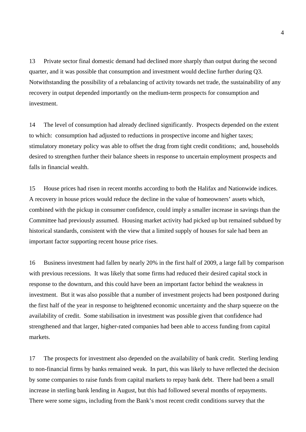13 Private sector final domestic demand had declined more sharply than output during the second quarter, and it was possible that consumption and investment would decline further during Q3. Notwithstanding the possibility of a rebalancing of activity towards net trade, the sustainability of any recovery in output depended importantly on the medium-term prospects for consumption and investment.

14 The level of consumption had already declined significantly. Prospects depended on the extent to which: consumption had adjusted to reductions in prospective income and higher taxes; stimulatory monetary policy was able to offset the drag from tight credit conditions; and, households desired to strengthen further their balance sheets in response to uncertain employment prospects and falls in financial wealth.

15 House prices had risen in recent months according to both the Halifax and Nationwide indices. A recovery in house prices would reduce the decline in the value of homeowners' assets which, combined with the pickup in consumer confidence, could imply a smaller increase in savings than the Committee had previously assumed. Housing market activity had picked up but remained subdued by historical standards, consistent with the view that a limited supply of houses for sale had been an important factor supporting recent house price rises.

16 Business investment had fallen by nearly 20% in the first half of 2009, a large fall by comparison with previous recessions. It was likely that some firms had reduced their desired capital stock in response to the downturn, and this could have been an important factor behind the weakness in investment. But it was also possible that a number of investment projects had been postponed during the first half of the year in response to heightened economic uncertainty and the sharp squeeze on the availability of credit. Some stabilisation in investment was possible given that confidence had strengthened and that larger, higher-rated companies had been able to access funding from capital markets.

17 The prospects for investment also depended on the availability of bank credit. Sterling lending to non-financial firms by banks remained weak. In part, this was likely to have reflected the decision by some companies to raise funds from capital markets to repay bank debt. There had been a small increase in sterling bank lending in August, but this had followed several months of repayments. There were some signs, including from the Bank's most recent credit conditions survey that the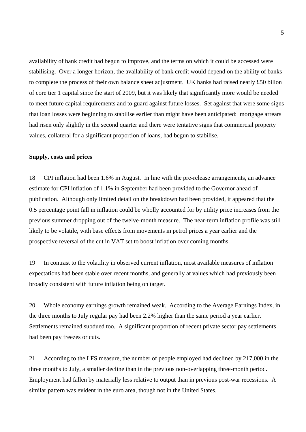availability of bank credit had begun to improve, and the terms on which it could be accessed were stabilising. Over a longer horizon, the availability of bank credit would depend on the ability of banks to complete the process of their own balance sheet adjustment. UK banks had raised nearly £50 billon of core tier 1 capital since the start of 2009, but it was likely that significantly more would be needed to meet future capital requirements and to guard against future losses. Set against that were some signs that loan losses were beginning to stabilise earlier than might have been anticipated: mortgage arrears had risen only slightly in the second quarter and there were tentative signs that commercial property values, collateral for a significant proportion of loans, had begun to stabilise.

#### **Supply, costs and prices**

18 CPI inflation had been 1.6% in August. In line with the pre-release arrangements, an advance estimate for CPI inflation of 1.1% in September had been provided to the Governor ahead of publication. Although only limited detail on the breakdown had been provided, it appeared that the 0.5 percentage point fall in inflation could be wholly accounted for by utility price increases from the previous summer dropping out of the twelve-month measure. The near-term inflation profile was still likely to be volatile, with base effects from movements in petrol prices a year earlier and the prospective reversal of the cut in VAT set to boost inflation over coming months.

19 In contrast to the volatility in observed current inflation, most available measures of inflation expectations had been stable over recent months, and generally at values which had previously been broadly consistent with future inflation being on target.

20 Whole economy earnings growth remained weak. According to the Average Earnings Index, in the three months to July regular pay had been 2.2% higher than the same period a year earlier. Settlements remained subdued too. A significant proportion of recent private sector pay settlements had been pay freezes or cuts.

21 According to the LFS measure, the number of people employed had declined by 217,000 in the three months to July, a smaller decline than in the previous non-overlapping three-month period. Employment had fallen by materially less relative to output than in previous post-war recessions. A similar pattern was evident in the euro area, though not in the United States.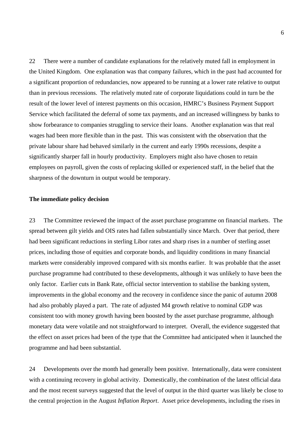22 There were a number of candidate explanations for the relatively muted fall in employment in the United Kingdom. One explanation was that company failures, which in the past had accounted for a significant proportion of redundancies, now appeared to be running at a lower rate relative to output than in previous recessions. The relatively muted rate of corporate liquidations could in turn be the result of the lower level of interest payments on this occasion, HMRC's Business Payment Support Service which facilitated the deferral of some tax payments, and an increased willingness by banks to show forbearance to companies struggling to service their loans. Another explanation was that real wages had been more flexible than in the past. This was consistent with the observation that the private labour share had behaved similarly in the current and early 1990s recessions, despite a significantly sharper fall in hourly productivity. Employers might also have chosen to retain employees on payroll, given the costs of replacing skilled or experienced staff, in the belief that the sharpness of the downturn in output would be temporary.

#### **The immediate policy decision**

23 The Committee reviewed the impact of the asset purchase programme on financial markets. The spread between gilt yields and OIS rates had fallen substantially since March. Over that period, there had been significant reductions in sterling Libor rates and sharp rises in a number of sterling asset prices, including those of equities and corporate bonds, and liquidity conditions in many financial markets were considerably improved compared with six months earlier. It was probable that the asset purchase programme had contributed to these developments, although it was unlikely to have been the only factor. Earlier cuts in Bank Rate, official sector intervention to stabilise the banking system, improvements in the global economy and the recovery in confidence since the panic of autumn 2008 had also probably played a part. The rate of adjusted M4 growth relative to nominal GDP was consistent too with money growth having been boosted by the asset purchase programme, although monetary data were volatile and not straightforward to interpret. Overall, the evidence suggested that the effect on asset prices had been of the type that the Committee had anticipated when it launched the programme and had been substantial.

24 Developments over the month had generally been positive. Internationally, data were consistent with a continuing recovery in global activity. Domestically, the combination of the latest official data and the most recent surveys suggested that the level of output in the third quarter was likely be close to the central projection in the August *Inflation Report*. Asset price developments, including the rises in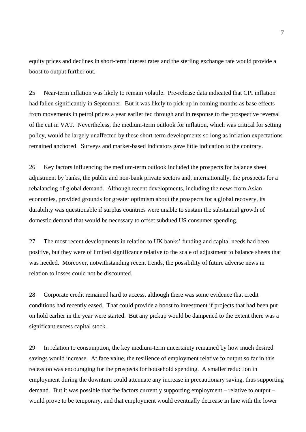equity prices and declines in short-term interest rates and the sterling exchange rate would provide a boost to output further out.

25 Near-term inflation was likely to remain volatile. Pre-release data indicated that CPI inflation had fallen significantly in September. But it was likely to pick up in coming months as base effects from movements in petrol prices a year earlier fed through and in response to the prospective reversal of the cut in VAT. Nevertheless, the medium-term outlook for inflation, which was critical for setting policy, would be largely unaffected by these short-term developments so long as inflation expectations remained anchored. Surveys and market-based indicators gave little indication to the contrary.

26 Key factors influencing the medium-term outlook included the prospects for balance sheet adjustment by banks, the public and non-bank private sectors and, internationally, the prospects for a rebalancing of global demand. Although recent developments, including the news from Asian economies, provided grounds for greater optimism about the prospects for a global recovery, its durability was questionable if surplus countries were unable to sustain the substantial growth of domestic demand that would be necessary to offset subdued US consumer spending.

27 The most recent developments in relation to UK banks' funding and capital needs had been positive, but they were of limited significance relative to the scale of adjustment to balance sheets that was needed. Moreover, notwithstanding recent trends, the possibility of future adverse news in relation to losses could not be discounted.

28 Corporate credit remained hard to access, although there was some evidence that credit conditions had recently eased. That could provide a boost to investment if projects that had been put on hold earlier in the year were started. But any pickup would be dampened to the extent there was a significant excess capital stock.

29 In relation to consumption, the key medium-term uncertainty remained by how much desired savings would increase. At face value, the resilience of employment relative to output so far in this recession was encouraging for the prospects for household spending. A smaller reduction in employment during the downturn could attenuate any increase in precautionary saving, thus supporting demand. But it was possible that the factors currently supporting employment – relative to output – would prove to be temporary, and that employment would eventually decrease in line with the lower